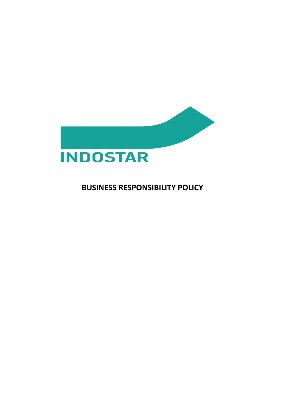

# **BUSINESS RESPONSIBILITY POLICY**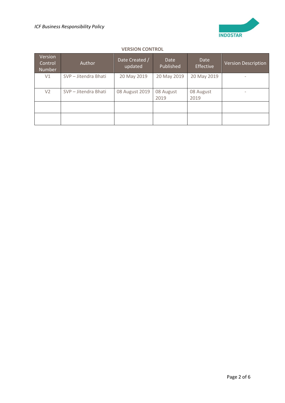

## **VERSION CONTROL**

| Version<br>Control<br><b>Number</b> | <b>Author</b>        | Date Created /<br>updated | <b>Date</b><br>Published | <b>Date</b><br>Effective | <b>Version Description</b> |
|-------------------------------------|----------------------|---------------------------|--------------------------|--------------------------|----------------------------|
| V1                                  | SVP - Jitendra Bhati | 20 May 2019               | 20 May 2019              | 20 May 2019              | $\overline{\phantom{0}}$   |
| V <sub>2</sub>                      | SVP - Jitendra Bhati | 08 August 2019            | 08 August<br>2019        | 08 August<br>2019        | $\overline{\phantom{0}}$   |
|                                     |                      |                           |                          |                          |                            |
|                                     |                      |                           |                          |                          |                            |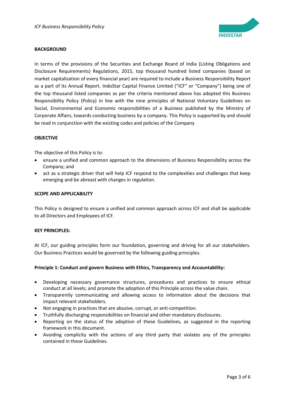

## **BACKGROUND**

In terms of the provisions of the Securities and Exchange Board of India (Listing Obligations and Disclosure Requirements) Regulations, 2015, top thousand hundred listed companies (based on market capitalization of every financial year) are required to include a Business Responsibility Report as a part of its Annual Report. IndoStar Capital Finance Limited ("ICF" or "Company") being one of the top thousand listed companies as per the criteria mentioned above has adopted this Business Responsibility Policy (Policy) in line with the nine principles of National Voluntary Guidelines on Social, Environmental and Economic responsibilities of a Business published by the Ministry of Corporate Affairs, towards conducting business by a company. This Policy is supported by and should be read in conjunction with the existing codes and policies of the Company

## **OBJECTIVE**

The objective of this Policy is to:

- ensure a unified and common approach to the dimensions of Business Responsibility across the Company; and
- act as a strategic driver that will help ICF respond to the complexities and challenges that keep emerging and be abreast with changes in regulation.

## **SCOPE AND APPLICABILITY**

This Policy is designed to ensure a unified and common approach across ICF and shall be applicable to all Directors and Employees of ICF.

## **KEY PRINCIPLES:**

At ICF, our guiding principles form our foundation, governing and driving for all our stakeholders. Our Business Practices would be governed by the following guiding principles.

## **Principle 1: Conduct and govern Business with Ethics, Transparency and Accountability:**

- Developing necessary governance structures, procedures and practices to ensure ethical conduct at all levels; and promote the adoption of this Principle across the value chain.
- Transparently communicating and allowing access to information about the decisions that impact relevant stakeholders.
- Not engaging in practices that are abusive, corrupt, or anti-competition.
- Truthfully discharging responsibilities on financial and other mandatory disclosures.
- Reporting on the status of the adoption of these Guidelines, as suggested in the reporting framework in this document.
- Avoiding complicity with the actions of any third party that violates any of the principles contained in these Guidelines.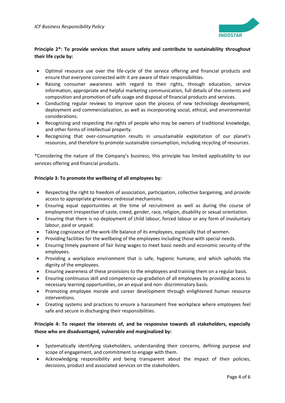

# **Principle 2\*: To provide services that assure safety and contribute to sustainability throughout their life cycle by:**

- Optimal resource use over the life-cycle of the service offering and financial products and ensure that everyone connected with it are aware of their responsibilities.
- Raising consumer awareness with regard to their rights, through education, service information, appropriate and helpful marketing communication, full details of the contents and composition and promotion of safe usage and disposal of financial products and services.
- Conducting regular reviews to improve upon the process of new technology development, deployment and commercialization, as well as incorporating social, ethical, and environmental considerations.
- Recognizing and respecting the rights of people who may be owners of traditional knowledge, and other forms of intellectual property.
- Recognizing that over-consumption results in unsustainable exploitation of our planet's resources, and therefore to promote sustainable consumption, including recycling of resources.

\*Considering the nature of the Company's business, this principle has limited applicability to our services offering and financial products.

## **Principle 3: To promote the wellbeing of all employees by:**

- Respecting the right to freedom of association, participation, collective bargaining, and provide access to appropriate grievance redressal mechanisms.
- Ensuring equal opportunities at the time of recruitment as well as during the course of employment irrespective of caste, creed, gender, race, religion, disability or sexual orientation.
- Ensuring that there is no deployment of child labour, forced labour or any form of involuntary labour, paid or unpaid.
- Taking cognizance of the work-life balance of its employees, especially that of women.
- Providing facilities for the wellbeing of the employees including those with special needs.
- Ensuring timely payment of fair living wages to meet basic needs and economic security of the employees.
- Providing a workplace environment that is safe, hygienic humane, and which upholds the dignity of the employees.
- Ensuring awareness of these provisions to the employees and training them on a regular basis.
- Ensuring continuous skill and competence up-gradation of all employees by providing access to necessary learning opportunities, on an equal and non- discriminatory basis.
- Promoting employee morale and career development through enlightened human resource interventions.
- Creating systems and practices to ensure a harassment free workplace where employees feel safe and secure in discharging their responsibilities.

# **Principle 4: To respect the interests of, and be responsive towards all stakeholders, especially those who are disadvantaged, vulnerable and marginalized by:**

- Systematically identifying stakeholders, understanding their concerns, defining purpose and scope of engagement, and commitment to engage with them.
- Acknowledging responsibility and being transparent about the impact of their policies, decisions, product and associated services on the stakeholders.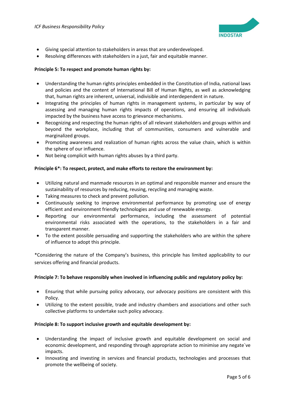

- Giving special attention to stakeholders in areas that are underdeveloped.
- Resolving differences with stakeholders in a just, fair and equitable manner.

## **Principle 5: To respect and promote human rights by:**

- Understanding the human rights principles embedded in the Constitution of India, national laws and policies and the content of International Bill of Human Rights, as well as acknowledging that, human rights are inherent, universal, indivisible and interdependent in nature.
- Integrating the principles of human rights in management systems, in particular by way of assessing and managing human rights impacts of operations, and ensuring all individuals impacted by the business have access to grievance mechanisms.
- Recognizing and respecting the human rights of all relevant stakeholders and groups within and beyond the workplace, including that of communities, consumers and vulnerable and marginalized groups.
- Promoting awareness and realization of human rights across the value chain, which is within the sphere of our influence.
- Not being complicit with human rights abuses by a third party.

## **Principle 6\*: To respect, protect, and make efforts to restore the environment by:**

- Utilizing natural and manmade resources in an optimal and responsible manner and ensure the sustainability of resources by reducing, reusing, recycling and managing waste.
- Taking measures to check and prevent pollution.
- Continuously seeking to improve environmental performance by promoting use of energy efficient and environment friendly technologies and use of renewable energy.
- Reporting our environmental performance, including the assessment of potential environmental risks associated with the operations, to the stakeholders in a fair and transparent manner.
- To the extent possible persuading and supporting the stakeholders who are within the sphere of influence to adopt this principle.

\*Considering the nature of the Company's business, this principle has limited applicability to our services offering and financial products.

## **Principle 7: To behave responsibly when involved in influencing public and regulatory policy by:**

- Ensuring that while pursuing policy advocacy, our advocacy positions are consistent with this Policy.
- Utilizing to the extent possible, trade and industry chambers and associations and other such collective platforms to undertake such policy advocacy.

## **Principle 8: To support inclusive growth and equitable development by:**

- Understanding the impact of inclusive growth and equitable development on social and economic development, and responding through appropriate action to minimise any negate`ve impacts.
- Innovating and investing in services and financial products, technologies and processes that promote the wellbeing of society.